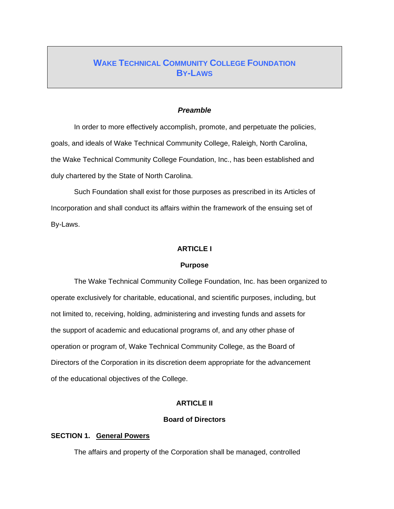# **WAKE TECHNICAL COMMUNITY COLLEGE FOUNDATION BY-LAWS**

#### *Preamble*

In order to more effectively accomplish, promote, and perpetuate the policies, goals, and ideals of Wake Technical Community College, Raleigh, North Carolina, the Wake Technical Community College Foundation, Inc., has been established and duly chartered by the State of North Carolina.

 Such Foundation shall exist for those purposes as prescribed in its Articles of Incorporation and shall conduct its affairs within the framework of the ensuing set of By-Laws.

#### **ARTICLE I**

### **Purpose**

The Wake Technical Community College Foundation, Inc. has been organized to operate exclusively for charitable, educational, and scientific purposes, including, but not limited to, receiving, holding, administering and investing funds and assets for the support of academic and educational programs of, and any other phase of operation or program of, Wake Technical Community College, as the Board of Directors of the Corporation in its discretion deem appropriate for the advancement of the educational objectives of the College.

# **ARTICLE II**

#### **Board of Directors**

### **SECTION 1. General Powers**

The affairs and property of the Corporation shall be managed, controlled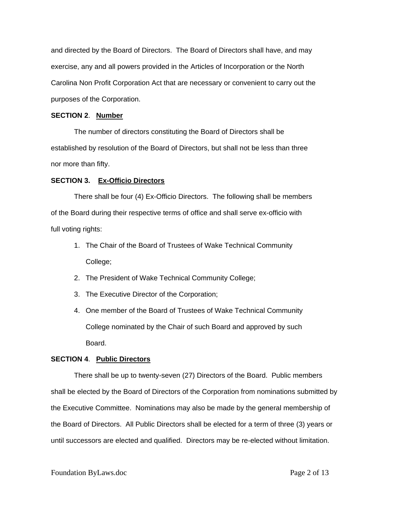and directed by the Board of Directors. The Board of Directors shall have, and may exercise, any and all powers provided in the Articles of Incorporation or the North Carolina Non Profit Corporation Act that are necessary or convenient to carry out the purposes of the Corporation.

### **SECTION 2**. **Number**

 The number of directors constituting the Board of Directors shall be established by resolution of the Board of Directors, but shall not be less than three nor more than fifty.

### **SECTION 3. Ex-Officio Directors**

 There shall be four (4) Ex-Officio Directors. The following shall be members of the Board during their respective terms of office and shall serve ex-officio with full voting rights:

- 1. The Chair of the Board of Trustees of Wake Technical Community College;
- 2. The President of Wake Technical Community College;
- 3. The Executive Director of the Corporation;
- 4. One member of the Board of Trustees of Wake Technical Community College nominated by the Chair of such Board and approved by such Board.

# **SECTION 4**. **Public Directors**

There shall be up to twenty-seven (27) Directors of the Board. Public members shall be elected by the Board of Directors of the Corporation from nominations submitted by the Executive Committee. Nominations may also be made by the general membership of the Board of Directors. All Public Directors shall be elected for a term of three (3) years or until successors are elected and qualified. Directors may be re-elected without limitation.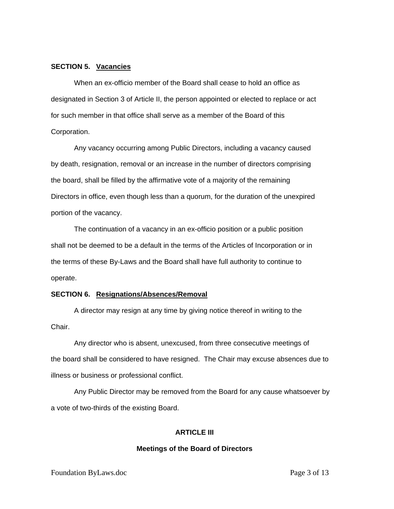# **SECTION 5. Vacancies**

 When an ex-officio member of the Board shall cease to hold an office as designated in Section 3 of Article II, the person appointed or elected to replace or act for such member in that office shall serve as a member of the Board of this Corporation.

 Any vacancy occurring among Public Directors, including a vacancy caused by death, resignation, removal or an increase in the number of directors comprising the board, shall be filled by the affirmative vote of a majority of the remaining Directors in office, even though less than a quorum, for the duration of the unexpired portion of the vacancy.

 The continuation of a vacancy in an ex-officio position or a public position shall not be deemed to be a default in the terms of the Articles of Incorporation or in the terms of these By-Laws and the Board shall have full authority to continue to operate.

# **SECTION 6. Resignations/Absences/Removal**

 A director may resign at any time by giving notice thereof in writing to the Chair.

 Any director who is absent, unexcused, from three consecutive meetings of the board shall be considered to have resigned. The Chair may excuse absences due to illness or business or professional conflict.

 Any Public Director may be removed from the Board for any cause whatsoever by a vote of two-thirds of the existing Board.

# **ARTICLE III**

#### **Meetings of the Board of Directors**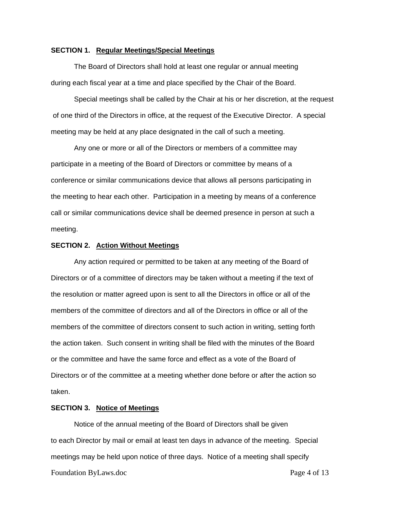# **SECTION 1. Regular Meetings/Special Meetings**

The Board of Directors shall hold at least one regular or annual meeting during each fiscal year at a time and place specified by the Chair of the Board.

 Special meetings shall be called by the Chair at his or her discretion, at the request of one third of the Directors in office, at the request of the Executive Director. A special meeting may be held at any place designated in the call of such a meeting.

 Any one or more or all of the Directors or members of a committee may participate in a meeting of the Board of Directors or committee by means of a conference or similar communications device that allows all persons participating in the meeting to hear each other. Participation in a meeting by means of a conference call or similar communications device shall be deemed presence in person at such a meeting.

#### **SECTION 2. Action Without Meetings**

 Any action required or permitted to be taken at any meeting of the Board of Directors or of a committee of directors may be taken without a meeting if the text of the resolution or matter agreed upon is sent to all the Directors in office or all of the members of the committee of directors and all of the Directors in office or all of the members of the committee of directors consent to such action in writing, setting forth the action taken. Such consent in writing shall be filed with the minutes of the Board or the committee and have the same force and effect as a vote of the Board of Directors or of the committee at a meeting whether done before or after the action so taken.

# **SECTION 3. Notice of Meetings**

 Notice of the annual meeting of the Board of Directors shall be given to each Director by mail or email at least ten days in advance of the meeting. Special meetings may be held upon notice of three days. Notice of a meeting shall specify Foundation ByLaws.doc **Page 4 of 13**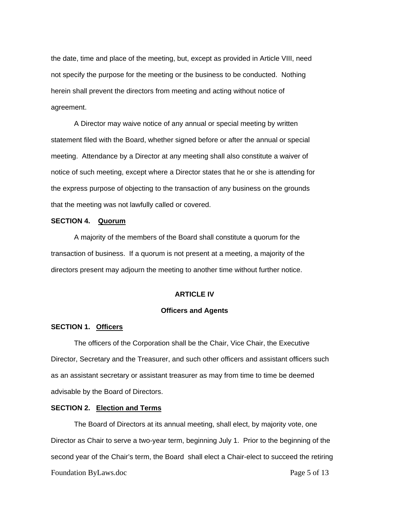the date, time and place of the meeting, but, except as provided in Article VIII, need not specify the purpose for the meeting or the business to be conducted. Nothing herein shall prevent the directors from meeting and acting without notice of agreement.

 A Director may waive notice of any annual or special meeting by written statement filed with the Board, whether signed before or after the annual or special meeting. Attendance by a Director at any meeting shall also constitute a waiver of notice of such meeting, except where a Director states that he or she is attending for the express purpose of objecting to the transaction of any business on the grounds that the meeting was not lawfully called or covered.

# **SECTION 4. Quorum**

 A majority of the members of the Board shall constitute a quorum for the transaction of business. If a quorum is not present at a meeting, a majority of the directors present may adjourn the meeting to another time without further notice.

### **ARTICLE IV**

# **Officers and Agents**

# **SECTION 1. Officers**

 The officers of the Corporation shall be the Chair, Vice Chair, the Executive Director, Secretary and the Treasurer, and such other officers and assistant officers such as an assistant secretary or assistant treasurer as may from time to time be deemed advisable by the Board of Directors.

# **SECTION 2. Election and Terms**

 The Board of Directors at its annual meeting, shall elect, by majority vote, one Director as Chair to serve a two-year term, beginning July 1. Prior to the beginning of the second year of the Chair's term, the Board shall elect a Chair-elect to succeed the retiring Foundation ByLaws.doc **Page 5 of 13**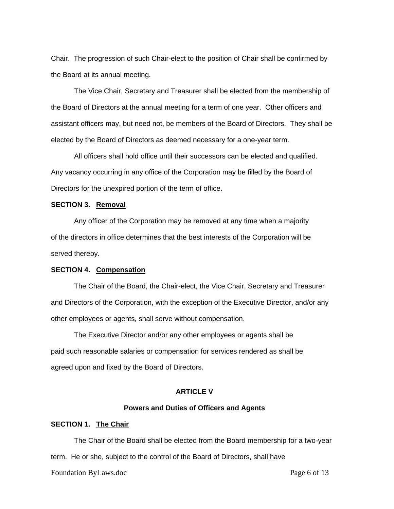Chair. The progression of such Chair-elect to the position of Chair shall be confirmed by the Board at its annual meeting.

 The Vice Chair, Secretary and Treasurer shall be elected from the membership of the Board of Directors at the annual meeting for a term of one year. Other officers and assistant officers may, but need not, be members of the Board of Directors. They shall be elected by the Board of Directors as deemed necessary for a one-year term.

 All officers shall hold office until their successors can be elected and qualified. Any vacancy occurring in any office of the Corporation may be filled by the Board of Directors for the unexpired portion of the term of office.

# **SECTION 3. Removal**

 Any officer of the Corporation may be removed at any time when a majority of the directors in office determines that the best interests of the Corporation will be served thereby.

#### **SECTION 4. Compensation**

 The Chair of the Board, the Chair-elect, the Vice Chair, Secretary and Treasurer and Directors of the Corporation, with the exception of the Executive Director, and/or any other employees or agents, shall serve without compensation.

 The Executive Director and/or any other employees or agents shall be paid such reasonable salaries or compensation for services rendered as shall be agreed upon and fixed by the Board of Directors.

# **ARTICLE V**

# **Powers and Duties of Officers and Agents**

# **SECTION 1. The Chair**

 The Chair of the Board shall be elected from the Board membership for a two-year term. He or she, subject to the control of the Board of Directors, shall have

Foundation ByLaws.doc **Page 6 of 13**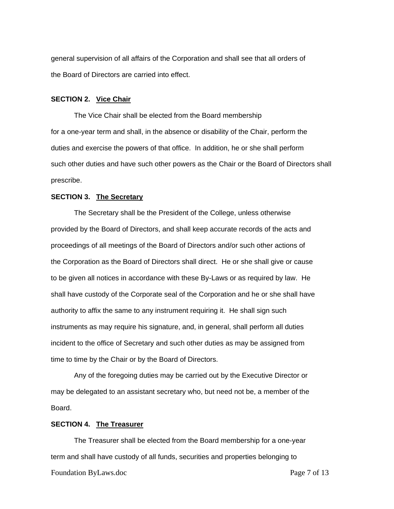general supervision of all affairs of the Corporation and shall see that all orders of the Board of Directors are carried into effect.

# **SECTION 2. Vice Chair**

The Vice Chair shall be elected from the Board membership for a one-year term and shall, in the absence or disability of the Chair, perform the duties and exercise the powers of that office. In addition, he or she shall perform such other duties and have such other powers as the Chair or the Board of Directors shall prescribe.

# **SECTION 3. The Secretary**

 The Secretary shall be the President of the College, unless otherwise provided by the Board of Directors, and shall keep accurate records of the acts and proceedings of all meetings of the Board of Directors and/or such other actions of the Corporation as the Board of Directors shall direct. He or she shall give or cause to be given all notices in accordance with these By-Laws or as required by law. He shall have custody of the Corporate seal of the Corporation and he or she shall have authority to affix the same to any instrument requiring it. He shall sign such instruments as may require his signature, and, in general, shall perform all duties incident to the office of Secretary and such other duties as may be assigned from time to time by the Chair or by the Board of Directors.

 Any of the foregoing duties may be carried out by the Executive Director or may be delegated to an assistant secretary who, but need not be, a member of the Board.

### **SECTION 4. The Treasurer**

 The Treasurer shall be elected from the Board membership for a one-year term and shall have custody of all funds, securities and properties belonging to Foundation ByLaws.doc **Page 7 of 13**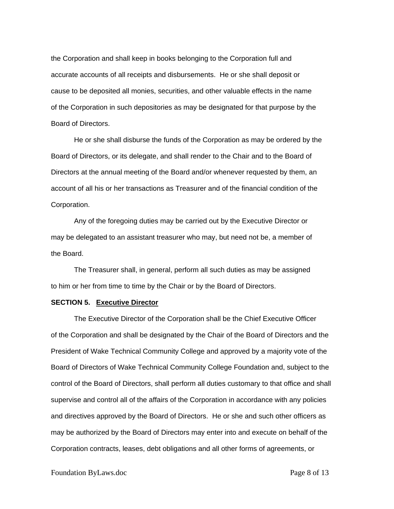the Corporation and shall keep in books belonging to the Corporation full and accurate accounts of all receipts and disbursements. He or she shall deposit or cause to be deposited all monies, securities, and other valuable effects in the name of the Corporation in such depositories as may be designated for that purpose by the Board of Directors.

He or she shall disburse the funds of the Corporation as may be ordered by the Board of Directors, or its delegate, and shall render to the Chair and to the Board of Directors at the annual meeting of the Board and/or whenever requested by them, an account of all his or her transactions as Treasurer and of the financial condition of the Corporation.

 Any of the foregoing duties may be carried out by the Executive Director or may be delegated to an assistant treasurer who may, but need not be, a member of the Board.

 The Treasurer shall, in general, perform all such duties as may be assigned to him or her from time to time by the Chair or by the Board of Directors.

#### **SECTION 5. Executive Director**

 The Executive Director of the Corporation shall be the Chief Executive Officer of the Corporation and shall be designated by the Chair of the Board of Directors and the President of Wake Technical Community College and approved by a majority vote of the Board of Directors of Wake Technical Community College Foundation and, subject to the control of the Board of Directors, shall perform all duties customary to that office and shall supervise and control all of the affairs of the Corporation in accordance with any policies and directives approved by the Board of Directors. He or she and such other officers as may be authorized by the Board of Directors may enter into and execute on behalf of the Corporation contracts, leases, debt obligations and all other forms of agreements, or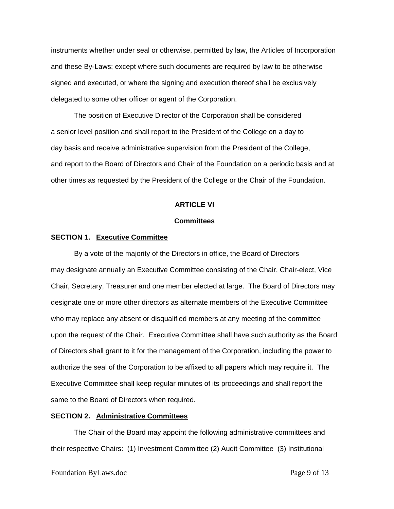instruments whether under seal or otherwise, permitted by law, the Articles of Incorporation and these By-Laws; except where such documents are required by law to be otherwise signed and executed, or where the signing and execution thereof shall be exclusively delegated to some other officer or agent of the Corporation.

 The position of Executive Director of the Corporation shall be considered a senior level position and shall report to the President of the College on a day to day basis and receive administrative supervision from the President of the College, and report to the Board of Directors and Chair of the Foundation on a periodic basis and at other times as requested by the President of the College or the Chair of the Foundation.

# **ARTICLE VI**

# **Committees**

### **SECTION 1. Executive Committee**

 By a vote of the majority of the Directors in office, the Board of Directors may designate annually an Executive Committee consisting of the Chair, Chair-elect, Vice Chair, Secretary, Treasurer and one member elected at large. The Board of Directors may designate one or more other directors as alternate members of the Executive Committee who may replace any absent or disqualified members at any meeting of the committee upon the request of the Chair. Executive Committee shall have such authority as the Board of Directors shall grant to it for the management of the Corporation, including the power to authorize the seal of the Corporation to be affixed to all papers which may require it. The Executive Committee shall keep regular minutes of its proceedings and shall report the same to the Board of Directors when required.

### **SECTION 2. Administrative Committees**

 The Chair of the Board may appoint the following administrative committees and their respective Chairs: (1) Investment Committee (2) Audit Committee (3) Institutional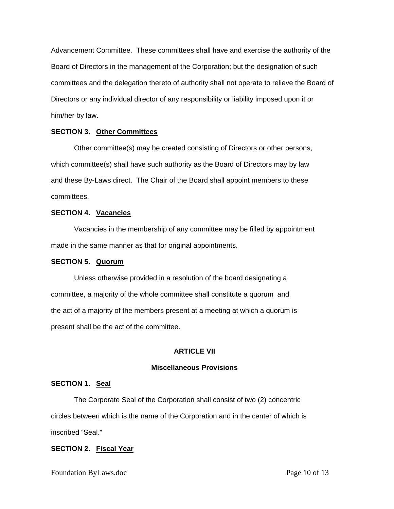Advancement Committee. These committees shall have and exercise the authority of the Board of Directors in the management of the Corporation; but the designation of such committees and the delegation thereto of authority shall not operate to relieve the Board of Directors or any individual director of any responsibility or liability imposed upon it or him/her by law.

# **SECTION 3. Other Committees**

 Other committee(s) may be created consisting of Directors or other persons, which committee(s) shall have such authority as the Board of Directors may by law and these By-Laws direct. The Chair of the Board shall appoint members to these committees.

# **SECTION 4. Vacancies**

 Vacancies in the membership of any committee may be filled by appointment made in the same manner as that for original appointments.

### **SECTION 5. Quorum**

 Unless otherwise provided in a resolution of the board designating a committee, a majority of the whole committee shall constitute a quorum and the act of a majority of the members present at a meeting at which a quorum is present shall be the act of the committee.

# **ARTICLE VII**

# **Miscellaneous Provisions**

# **SECTION 1. Seal**

 The Corporate Seal of the Corporation shall consist of two (2) concentric circles between which is the name of the Corporation and in the center of which is inscribed "Seal."

# **SECTION 2. Fiscal Year**

Foundation ByLaws.doc **Page 10 of 13**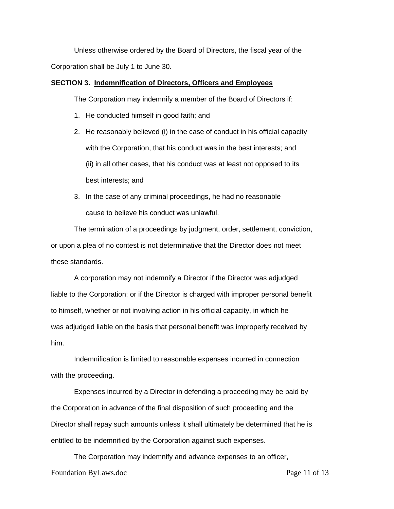Unless otherwise ordered by the Board of Directors, the fiscal year of the Corporation shall be July 1 to June 30.

# **SECTION 3. Indemnification of Directors, Officers and Employees**

The Corporation may indemnify a member of the Board of Directors if:

- 1. He conducted himself in good faith; and
- 2. He reasonably believed (i) in the case of conduct in his official capacity with the Corporation, that his conduct was in the best interests; and (ii) in all other cases, that his conduct was at least not opposed to its best interests; and
- 3. In the case of any criminal proceedings, he had no reasonable cause to believe his conduct was unlawful.

 The termination of a proceedings by judgment, order, settlement, conviction, or upon a plea of no contest is not determinative that the Director does not meet these standards.

 A corporation may not indemnify a Director if the Director was adjudged liable to the Corporation; or if the Director is charged with improper personal benefit to himself, whether or not involving action in his official capacity, in which he was adjudged liable on the basis that personal benefit was improperly received by him.

 Indemnification is limited to reasonable expenses incurred in connection with the proceeding.

 Expenses incurred by a Director in defending a proceeding may be paid by the Corporation in advance of the final disposition of such proceeding and the Director shall repay such amounts unless it shall ultimately be determined that he is entitled to be indemnified by the Corporation against such expenses.

 The Corporation may indemnify and advance expenses to an officer, Foundation ByLaws.doc **Page 11 of 13**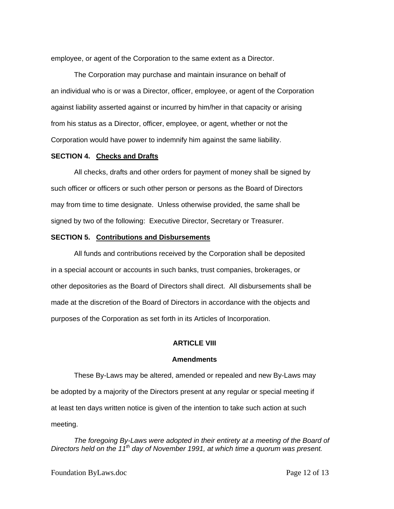employee, or agent of the Corporation to the same extent as a Director.

 The Corporation may purchase and maintain insurance on behalf of an individual who is or was a Director, officer, employee, or agent of the Corporation against liability asserted against or incurred by him/her in that capacity or arising from his status as a Director, officer, employee, or agent, whether or not the Corporation would have power to indemnify him against the same liability.

### **SECTION 4. Checks and Drafts**

 All checks, drafts and other orders for payment of money shall be signed by such officer or officers or such other person or persons as the Board of Directors may from time to time designate. Unless otherwise provided, the same shall be signed by two of the following: Executive Director, Secretary or Treasurer.

### **SECTION 5. Contributions and Disbursements**

 All funds and contributions received by the Corporation shall be deposited in a special account or accounts in such banks, trust companies, brokerages, or other depositories as the Board of Directors shall direct. All disbursements shall be made at the discretion of the Board of Directors in accordance with the objects and purposes of the Corporation as set forth in its Articles of Incorporation.

#### **ARTICLE VIII**

#### **Amendments**

 These By-Laws may be altered, amended or repealed and new By-Laws may be adopted by a majority of the Directors present at any regular or special meeting if at least ten days written notice is given of the intention to take such action at such meeting.

The foregoing By-Laws were adopted in their entirety at a meeting of the Board of *Directors held on the 11th day of November 1991, at which time a quorum was present.*